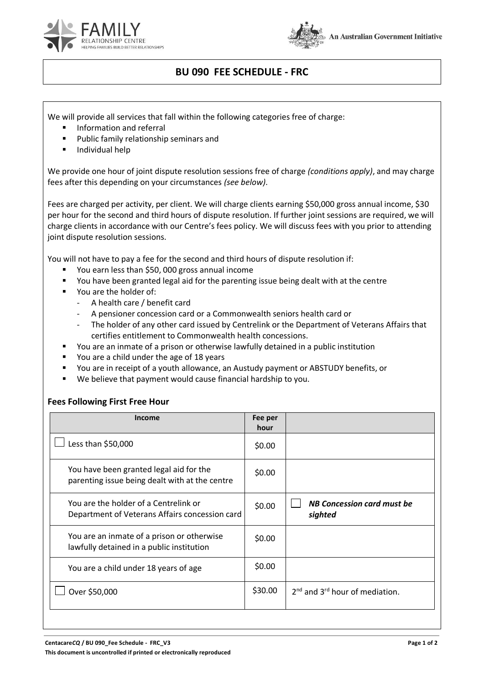



## **BU 090 FEE SCHEDULE - FRC**

We will provide all services that fall within the following categories free of charge:

- Information and referral
- Public family relationship seminars and
- **Individual help**

We provide one hour of joint dispute resolution sessions free of charge *(conditions apply)*, and may charge fees after this depending on your circumstances *(see below)*.

Fees are charged per activity, per client. We will charge clients earning \$50,000 gross annual income, \$30 per hour for the second and third hours of dispute resolution. If further joint sessions are required, we will charge clients in accordance with our Centre's fees policy. We will discuss fees with you prior to attending joint dispute resolution sessions.

You will not have to pay a fee for the second and third hours of dispute resolution if:

- You earn less than \$50, 000 gross annual income
- You have been granted legal aid for the parenting issue being dealt with at the centre
- You are the holder of:
	- A health care / benefit card
	- A pensioner concession card or a Commonwealth seniors health card or
	- The holder of any other card issued by Centrelink or the Department of Veterans Affairs that certifies entitlement to Commonwealth health concessions.
- You are an inmate of a prison or otherwise lawfully detained in a public institution
- You are a child under the age of 18 years
- You are in receipt of a youth allowance, an Austudy payment or ABSTUDY benefits, or
- We believe that payment would cause financial hardship to you.

## **Fees Following First Free Hour**

| Income                                                                                    | Fee per<br>hour |                                              |
|-------------------------------------------------------------------------------------------|-----------------|----------------------------------------------|
| Less than \$50,000                                                                        | \$0.00          |                                              |
| You have been granted legal aid for the<br>parenting issue being dealt with at the centre | \$0.00          |                                              |
| You are the holder of a Centrelink or<br>Department of Veterans Affairs concession card   | \$0.00          | <b>NB Concession card must be</b><br>sighted |
| You are an inmate of a prison or otherwise<br>lawfully detained in a public institution   | \$0.00          |                                              |
| You are a child under 18 years of age                                                     | \$0.00          |                                              |
| Over \$50,000                                                                             | \$30.00         | $2^{nd}$ and $3^{rd}$ hour of mediation.     |